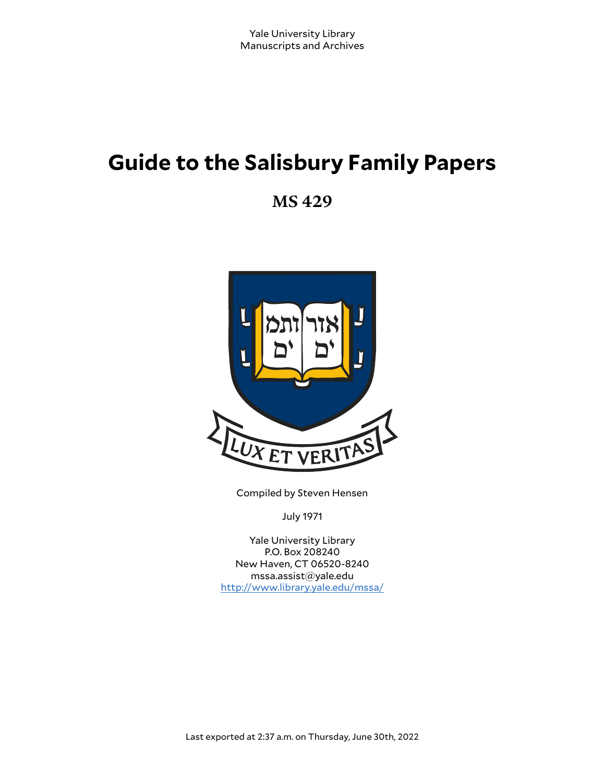# **Guide to the Salisbury Family Papers**

**MS 429**



Compiled by Steven Hensen

July 1971

Yale University Library P.O. Box 208240 New Haven, CT 06520-8240 mssa.assist@yale.edu <http://www.library.yale.edu/mssa/>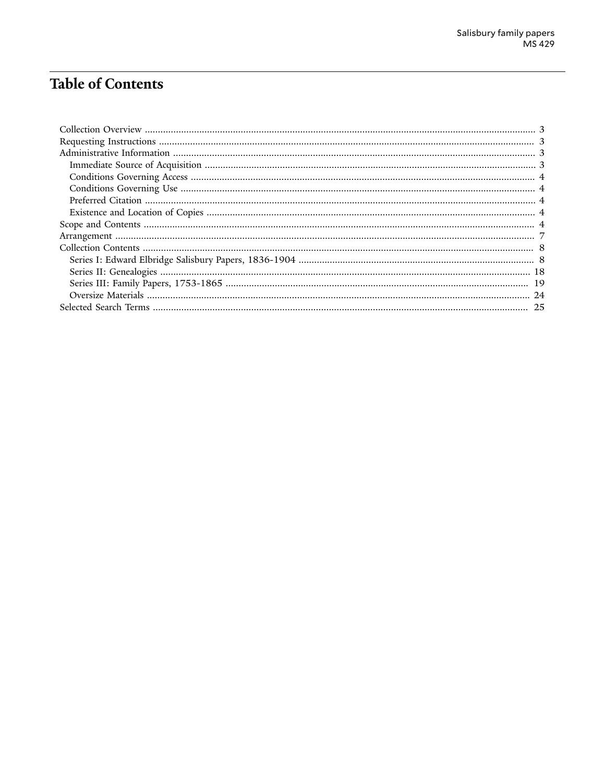# **Table of Contents**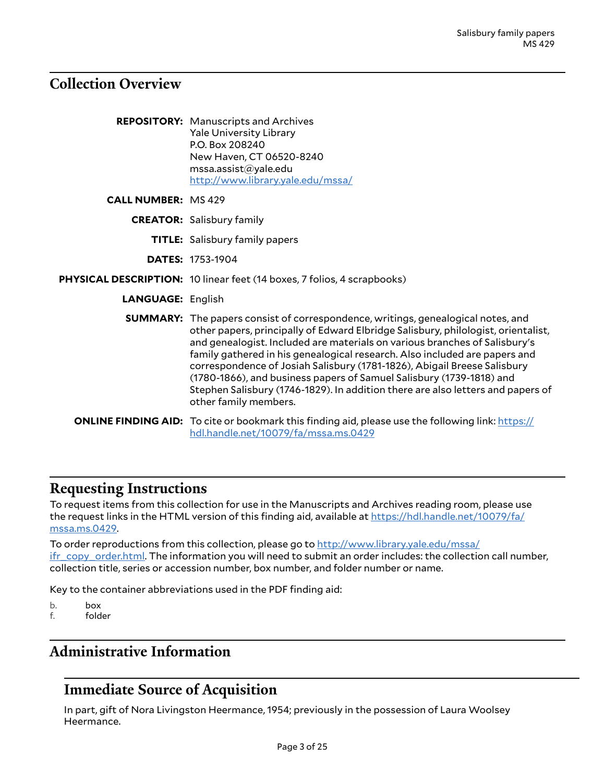### <span id="page-2-0"></span>**Collection Overview**

| <b>REPOSITORY:</b> Manuscripts and Archives |
|---------------------------------------------|
| <b>Yale University Library</b>              |
| P.O. Box 208240                             |
| New Haven, CT 06520-8240                    |
| mssa.assist@yale.edu                        |
| http://www.library.yale.edu/mssa/           |

**CALL NUMBER:** MS 429

**CREATOR:** Salisbury family

**TITLE:** Salisbury family papers

**DATES:** 1753-1904

**PHYSICAL DESCRIPTION:** 10 linear feet (14 boxes, 7 folios, 4 scrapbooks)

**LANGUAGE:** English

**SUMMARY:** The papers consist of correspondence, writings, genealogical notes, and other papers, principally of Edward Elbridge Salisbury, philologist, orientalist, and genealogist. Included are materials on various branches of Salisbury's family gathered in his genealogical research. Also included are papers and correspondence of Josiah Salisbury (1781-1826), Abigail Breese Salisbury (1780-1866), and business papers of Samuel Salisbury (1739-1818) and Stephen Salisbury (1746-1829). In addition there are also letters and papers of other family members.

**ONLINE FINDING AID:** To cite or bookmark this finding aid, please use the following link: [https://](https://hdl.handle.net/10079/fa/mssa.ms.0429) [hdl.handle.net/10079/fa/mssa.ms.0429](https://hdl.handle.net/10079/fa/mssa.ms.0429)

### <span id="page-2-1"></span>**Requesting Instructions**

To request items from this collection for use in the Manuscripts and Archives reading room, please use the request links in the HTML version of this finding aid, available at [https://hdl.handle.net/10079/fa/](https://hdl.handle.net/10079/fa/mssa.ms.0429) [mssa.ms.0429](https://hdl.handle.net/10079/fa/mssa.ms.0429).

To order reproductions from this collection, please go to [http://www.library.yale.edu/mssa/](http://www.library.yale.edu/mssa/ifr_copy_order.html) [ifr\\_copy\\_order.html.](http://www.library.yale.edu/mssa/ifr_copy_order.html) The information you will need to submit an order includes: the collection call number, collection title, series or accession number, box number, and folder number or name.

Key to the container abbreviations used in the PDF finding aid:

- b. box
- f. folder

## <span id="page-2-2"></span>**Administrative Information**

## <span id="page-2-3"></span>**Immediate Source of Acquisition**

In part, gift of Nora Livingston Heermance, 1954; previously in the possession of Laura Woolsey Heermance.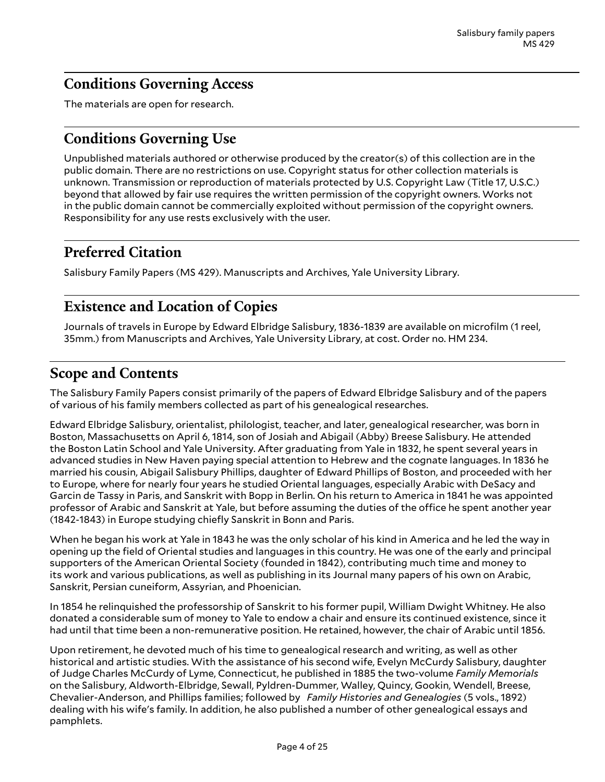# <span id="page-3-0"></span>**Conditions Governing Access**

The materials are open for research.

# <span id="page-3-1"></span>**Conditions Governing Use**

Unpublished materials authored or otherwise produced by the creator(s) of this collection are in the public domain. There are no restrictions on use. Copyright status for other collection materials is unknown. Transmission or reproduction of materials protected by U.S. Copyright Law (Title 17, U.S.C.) beyond that allowed by fair use requires the written permission of the copyright owners. Works not in the public domain cannot be commercially exploited without permission of the copyright owners. Responsibility for any use rests exclusively with the user.

# <span id="page-3-2"></span>**Preferred Citation**

Salisbury Family Papers (MS 429). Manuscripts and Archives, Yale University Library.

# <span id="page-3-3"></span>**Existence and Location of Copies**

Journals of travels in Europe by Edward Elbridge Salisbury, 1836-1839 are available on microfilm (1 reel, 35mm.) from Manuscripts and Archives, Yale University Library, at cost. Order no. HM 234.

## <span id="page-3-4"></span>**Scope and Contents**

The Salisbury Family Papers consist primarily of the papers of Edward Elbridge Salisbury and of the papers of various of his family members collected as part of his genealogical researches.

Edward Elbridge Salisbury, orientalist, philologist, teacher, and later, genealogical researcher, was born in Boston, Massachusetts on April 6, 1814, son of Josiah and Abigail (Abby) Breese Salisbury. He attended the Boston Latin School and Yale University. After graduating from Yale in 1832, he spent several years in advanced studies in New Haven paying special attention to Hebrew and the cognate languages. In 1836 he married his cousin, Abigail Salisbury Phillips, daughter of Edward Phillips of Boston, and proceeded with her to Europe, where for nearly four years he studied Oriental languages, especially Arabic with DeSacy and Garcin de Tassy in Paris, and Sanskrit with Bopp in Berlin. On his return to America in 1841 he was appointed professor of Arabic and Sanskrit at Yale, but before assuming the duties of the office he spent another year (1842-1843) in Europe studying chiefly Sanskrit in Bonn and Paris.

When he began his work at Yale in 1843 he was the only scholar of his kind in America and he led the way in opening up the field of Oriental studies and languages in this country. He was one of the early and principal supporters of the American Oriental Society (founded in 1842), contributing much time and money to its work and various publications, as well as publishing in its Journal many papers of his own on Arabic, Sanskrit, Persian cuneiform, Assyrian, and Phoenician.

In 1854 he relinquished the professorship of Sanskrit to his former pupil, William Dwight Whitney. He also donated a considerable sum of money to Yale to endow a chair and ensure its continued existence, since it had until that time been a non-remunerative position. He retained, however, the chair of Arabic until 1856.

Upon retirement, he devoted much of his time to genealogical research and writing, as well as other historical and artistic studies. With the assistance of his second wife, Evelyn McCurdy Salisbury, daughter of Judge Charles McCurdy of Lyme, Connecticut, he published in 1885 the two-volume *Family Memorials* on the Salisbury, Aldworth-Elbridge, Sewall, Pyldren-Dummer, Walley, Quincy, Gookin, Wendell, Breese, Chevalier-Anderson, and Phillips families; followed by *Family Histories and Genealogies* (5 vols., 1892) dealing with his wife's family. In addition, he also published a number of other genealogical essays and pamphlets.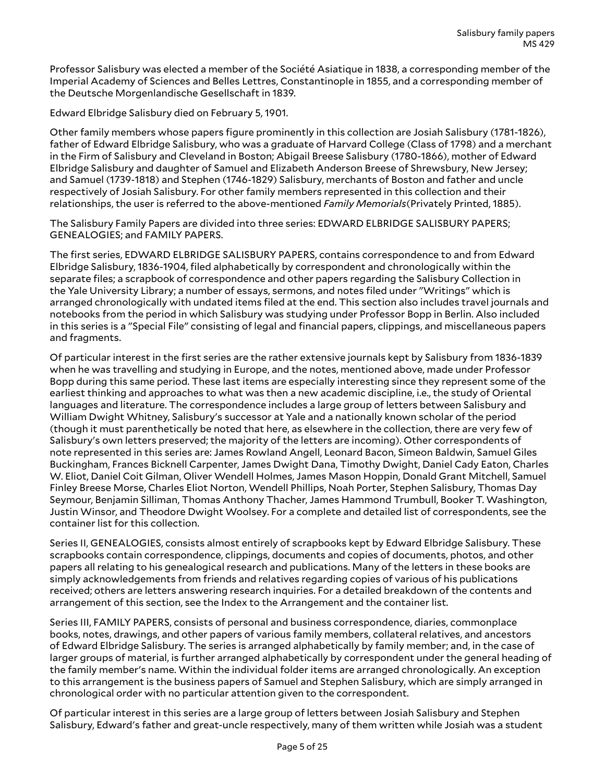Professor Salisbury was elected a member of the Société Asiatique in 1838, a corresponding member of the Imperial Academy of Sciences and Belles Lettres, Constantinople in 1855, and a corresponding member of the Deutsche Morgenlandische Gesellschaft in 1839.

Edward Elbridge Salisbury died on February 5, 1901.

Other family members whose papers figure prominently in this collection are Josiah Salisbury (1781-1826), father of Edward Elbridge Salisbury, who was a graduate of Harvard College (Class of 1798) and a merchant in the Firm of Salisbury and Cleveland in Boston; Abigail Breese Salisbury (1780-1866), mother of Edward Elbridge Salisbury and daughter of Samuel and Elizabeth Anderson Breese of Shrewsbury, New Jersey; and Samuel (1739-1818) and Stephen (1746-1829) Salisbury, merchants of Boston and father and uncle respectively of Josiah Salisbury. For other family members represented in this collection and their relationships, the user is referred to the above-mentioned *Family Memorials*(Privately Printed, 1885).

The Salisbury Family Papers are divided into three series: EDWARD ELBRIDGE SALISBURY PAPERS; GENEALOGIES; and FAMILY PAPERS.

The first series, EDWARD ELBRIDGE SALISBURY PAPERS, contains correspondence to and from Edward Elbridge Salisbury, 1836-1904, filed alphabetically by correspondent and chronologically within the separate files; a scrapbook of correspondence and other papers regarding the Salisbury Collection in the Yale University Library; a number of essays, sermons, and notes filed under "Writings" which is arranged chronologically with undated items filed at the end. This section also includes travel journals and notebooks from the period in which Salisbury was studying under Professor Bopp in Berlin. Also included in this series is a "Special File" consisting of legal and financial papers, clippings, and miscellaneous papers and fragments.

Of particular interest in the first series are the rather extensive journals kept by Salisbury from 1836-1839 when he was travelling and studying in Europe, and the notes, mentioned above, made under Professor Bopp during this same period. These last items are especially interesting since they represent some of the earliest thinking and approaches to what was then a new academic discipline, i.e., the study of Oriental languages and literature. The correspondence includes a large group of letters between Salisbury and William Dwight Whitney, Salisbury's successor at Yale and a nationally known scholar of the period (though it must parenthetically be noted that here, as elsewhere in the collection, there are very few of Salisbury's own letters preserved; the majority of the letters are incoming). Other correspondents of note represented in this series are: James Rowland Angell, Leonard Bacon, Simeon Baldwin, Samuel Giles Buckingham, Frances Bicknell Carpenter, James Dwight Dana, Timothy Dwight, Daniel Cady Eaton, Charles W. Eliot, Daniel Coit Gilman, Oliver Wendell Holmes, James Mason Hoppin, Donald Grant Mitchell, Samuel Finley Breese Morse, Charles Eliot Norton, Wendell Phillips, Noah Porter, Stephen Salisbury, Thomas Day Seymour, Benjamin Silliman, Thomas Anthony Thacher, James Hammond Trumbull, Booker T. Washington, Justin Winsor, and Theodore Dwight Woolsey. For a complete and detailed list of correspondents, see the container list for this collection.

Series II, GENEALOGIES, consists almost entirely of scrapbooks kept by Edward Elbridge Salisbury. These scrapbooks contain correspondence, clippings, documents and copies of documents, photos, and other papers all relating to his genealogical research and publications. Many of the letters in these books are simply acknowledgements from friends and relatives regarding copies of various of his publications received; others are letters answering research inquiries. For a detailed breakdown of the contents and arrangement of this section, see the Index to the Arrangement and the container list.

Series III, FAMILY PAPERS, consists of personal and business correspondence, diaries, commonplace books, notes, drawings, and other papers of various family members, collateral relatives, and ancestors of Edward Elbridge Salisbury. The series is arranged alphabetically by family member; and, in the case of larger groups of material, is further arranged alphabetically by correspondent under the general heading of the family member's name. Within the individual folder items are arranged chronologically. An exception to this arrangement is the business papers of Samuel and Stephen Salisbury, which are simply arranged in chronological order with no particular attention given to the correspondent.

Of particular interest in this series are a large group of letters between Josiah Salisbury and Stephen Salisbury, Edward's father and great-uncle respectively, many of them written while Josiah was a student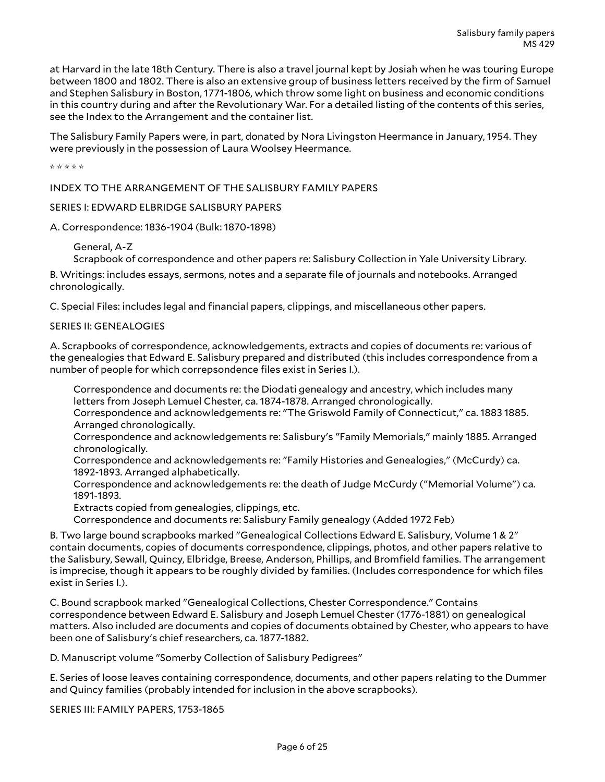at Harvard in the late 18th Century. There is also a travel journal kept by Josiah when he was touring Europe between 1800 and 1802. There is also an extensive group of business letters received by the firm of Samuel and Stephen Salisbury in Boston, 1771-1806, which throw some light on business and economic conditions in this country during and after the Revolutionary War. For a detailed listing of the contents of this series, see the Index to the Arrangement and the container list.

The Salisbury Family Papers were, in part, donated by Nora Livingston Heermance in January, 1954. They were previously in the possession of Laura Woolsey Heermance.

\* \* \* \* \*

INDEX TO THE ARRANGEMENT OF THE SALISBURY FAMILY PAPERS

#### SERIES I: EDWARD ELBRIDGE SALISBURY PAPERS

A. Correspondence: 1836-1904 (Bulk: 1870-1898)

General, A-Z

Scrapbook of correspondence and other papers re: Salisbury Collection in Yale University Library.

B. Writings: includes essays, sermons, notes and a separate file of journals and notebooks. Arranged chronologically.

C. Special Files: includes legal and financial papers, clippings, and miscellaneous other papers.

#### SERIES II: GENEALOGIES

A. Scrapbooks of correspondence, acknowledgements, extracts and copies of documents re: various of the genealogies that Edward E. Salisbury prepared and distributed (this includes correspondence from a number of people for which correpsondence files exist in Series I.).

Correspondence and documents re: the Diodati genealogy and ancestry, which includes many letters from Joseph Lemuel Chester, ca. 1874-1878. Arranged chronologically.

Correspondence and acknowledgements re: "The Griswold Family of Connecticut," ca. 1883 1885. Arranged chronologically.

Correspondence and acknowledgements re: Salisbury's "Family Memorials," mainly 1885. Arranged chronologically.

Correspondence and acknowledgements re: "Family Histories and Genealogies," (McCurdy) ca. 1892-1893. Arranged alphabetically.

Correspondence and acknowledgements re: the death of Judge McCurdy ("Memorial Volume") ca. 1891-1893.

Extracts copied from genealogies, clippings, etc.

Correspondence and documents re: Salisbury Family genealogy (Added 1972 Feb)

B. Two large bound scrapbooks marked "Genealogical Collections Edward E. Salisbury, Volume 1 & 2" contain documents, copies of documents correspondence, clippings, photos, and other papers relative to the Salisbury, Sewall, Quincy, Elbridge, Breese, Anderson, Phillips, and Bromfield families. The arrangement is imprecise, though it appears to be roughly divided by families. (Includes correspondence for which files exist in Series I.).

C. Bound scrapbook marked "Genealogical Collections, Chester Correspondence." Contains correspondence between Edward E. Salisbury and Joseph Lemuel Chester (1776-1881) on genealogical matters. Also included are documents and copies of documents obtained by Chester, who appears to have been one of Salisbury's chief researchers, ca. 1877-1882.

D. Manuscript volume "Somerby Collection of Salisbury Pedigrees"

E. Series of loose leaves containing correspondence, documents, and other papers relating to the Dummer and Quincy families (probably intended for inclusion in the above scrapbooks).

SERIES III: FAMILY PAPERS, 1753-1865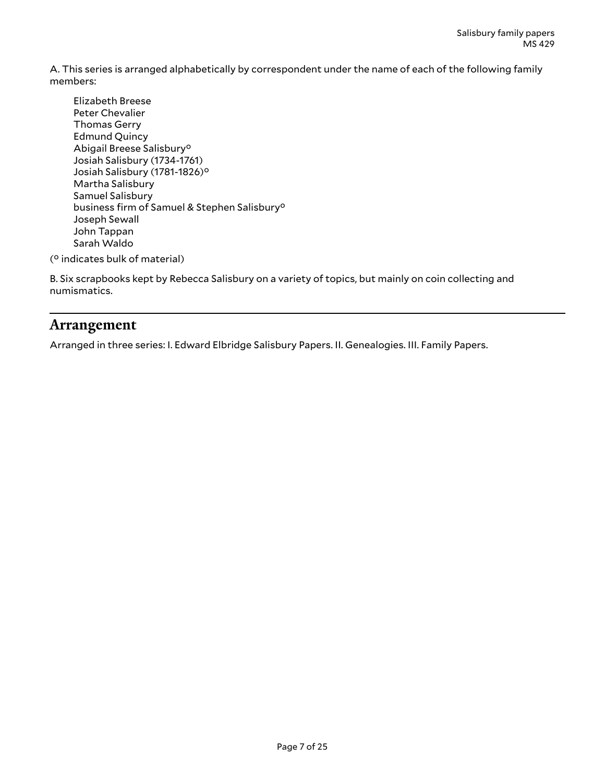A. This series is arranged alphabetically by correspondent under the name of each of the following family members:

- Elizabeth Breese Peter Chevalier Thomas Gerry Edmund Quincy Abigail Breese Salisbury° Josiah Salisbury (1734-1761) Josiah Salisbury (1781-1826)° Martha Salisbury Samuel Salisbury business firm of Samuel & Stephen Salisbury° Joseph Sewall John Tappan Sarah Waldo
- (° indicates bulk of material)

B. Six scrapbooks kept by Rebecca Salisbury on a variety of topics, but mainly on coin collecting and numismatics.

### <span id="page-6-0"></span>**Arrangement**

Arranged in three series: I. Edward Elbridge Salisbury Papers. II. Genealogies. III. Family Papers.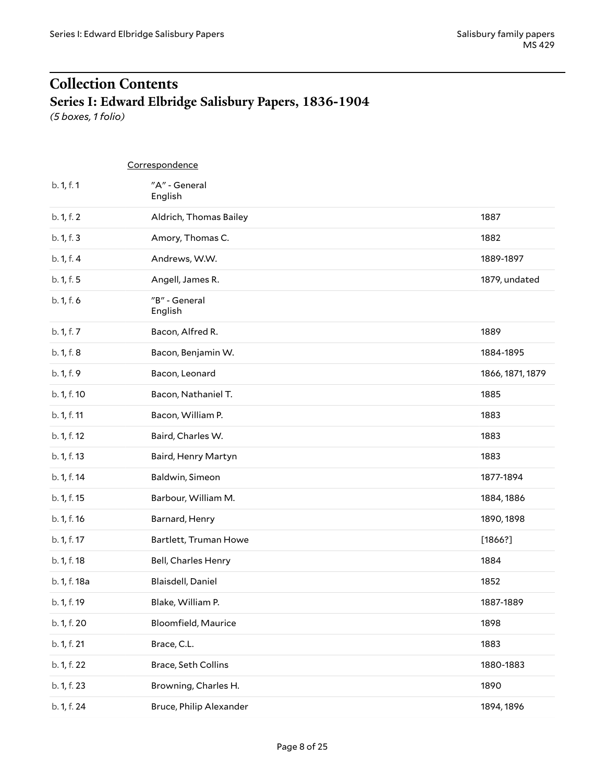# <span id="page-7-0"></span>**Collection Contents Series I: Edward Elbridge Salisbury Papers, 1836-1904**

<span id="page-7-1"></span>*(5 boxes, 1 folio)*

|              | Correspondence           |                  |
|--------------|--------------------------|------------------|
| b. 1, f. 1   | "A" - General<br>English |                  |
| b. 1, f. 2   | Aldrich, Thomas Bailey   | 1887             |
| b. 1, f. 3   | Amory, Thomas C.         | 1882             |
| b. 1, f. 4   | Andrews, W.W.            | 1889-1897        |
| b. 1, f. 5   | Angell, James R.         | 1879, undated    |
| b. 1, f. 6   | "B" - General<br>English |                  |
| b. 1, f. 7   | Bacon, Alfred R.         | 1889             |
| b. 1, f. 8   | Bacon, Benjamin W.       | 1884-1895        |
| b. 1, f. 9   | Bacon, Leonard           | 1866, 1871, 1879 |
| b. 1, f. 10  | Bacon, Nathaniel T.      | 1885             |
| b. 1, f. 11  | Bacon, William P.        | 1883             |
| b. 1, f. 12  | Baird, Charles W.        | 1883             |
| b. 1, f. 13  | Baird, Henry Martyn      | 1883             |
| b. 1, f. 14  | Baldwin, Simeon          | 1877-1894        |
| b. 1, f. 15  | Barbour, William M.      | 1884, 1886       |
| b. 1, f. 16  | Barnard, Henry           | 1890, 1898       |
| b. 1, f. 17  | Bartlett, Truman Howe    | [1866?]          |
| b. 1, f. 18  | Bell, Charles Henry      | 1884             |
| b. 1, f. 18a | Blaisdell, Daniel        | 1852             |
| b. 1, f. 19  | Blake, William P.        | 1887-1889        |
| b. 1, f. 20  | Bloomfield, Maurice      | 1898             |
| b. 1, f. 21  | Brace, C.L.              | 1883             |
| b. 1, f. 22  | Brace, Seth Collins      | 1880-1883        |
| b. 1, f. 23  | Browning, Charles H.     | 1890             |
| b. 1, f. 24  | Bruce, Philip Alexander  | 1894, 1896       |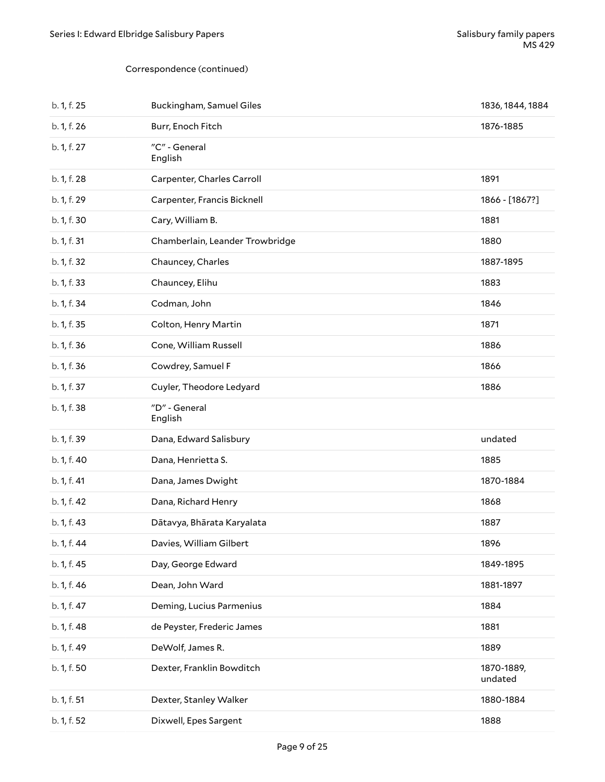| b. 1, f. 25 | Buckingham, Samuel Giles        | 1836, 1844, 1884      |
|-------------|---------------------------------|-----------------------|
| b. 1, f. 26 | Burr, Enoch Fitch               | 1876-1885             |
| b. 1, f. 27 | "C" - General<br>English        |                       |
| b. 1, f. 28 | Carpenter, Charles Carroll      | 1891                  |
| b. 1, f. 29 | Carpenter, Francis Bicknell     | 1866 - [1867?]        |
| b. 1, f. 30 | Cary, William B.                | 1881                  |
| b. 1, f. 31 | Chamberlain, Leander Trowbridge | 1880                  |
| b. 1, f. 32 | Chauncey, Charles               | 1887-1895             |
| b. 1, f. 33 | Chauncey, Elihu                 | 1883                  |
| b. 1, f. 34 | Codman, John                    | 1846                  |
| b. 1, f. 35 | Colton, Henry Martin            | 1871                  |
| b. 1, f. 36 | Cone, William Russell           | 1886                  |
| b. 1, f. 36 | Cowdrey, Samuel F               | 1866                  |
| b. 1, f. 37 | Cuyler, Theodore Ledyard        | 1886                  |
| b. 1, f. 38 | "D" - General<br>English        |                       |
| b. 1, f. 39 | Dana, Edward Salisbury          | undated               |
| b. 1, f. 40 | Dana, Henrietta S.              | 1885                  |
| b. 1, f. 41 | Dana, James Dwight              | 1870-1884             |
| b. 1, f. 42 | Dana, Richard Henry             | 1868                  |
| b. 1, f. 43 | Dātavya, Bhārata Karyalata      | 1887                  |
| b. 1, f. 44 | Davies, William Gilbert         | 1896                  |
| b. 1, f. 45 | Day, George Edward              | 1849-1895             |
| b. 1, f. 46 | Dean, John Ward                 | 1881-1897             |
| b. 1, f. 47 | Deming, Lucius Parmenius        | 1884                  |
| b. 1, f. 48 | de Peyster, Frederic James      | 1881                  |
| b. 1, f. 49 | DeWolf, James R.                | 1889                  |
| b. 1, f. 50 | Dexter, Franklin Bowditch       | 1870-1889,<br>undated |
| b. 1, f. 51 | Dexter, Stanley Walker          | 1880-1884             |
| b. 1, f. 52 | Dixwell, Epes Sargent           | 1888                  |
|             |                                 |                       |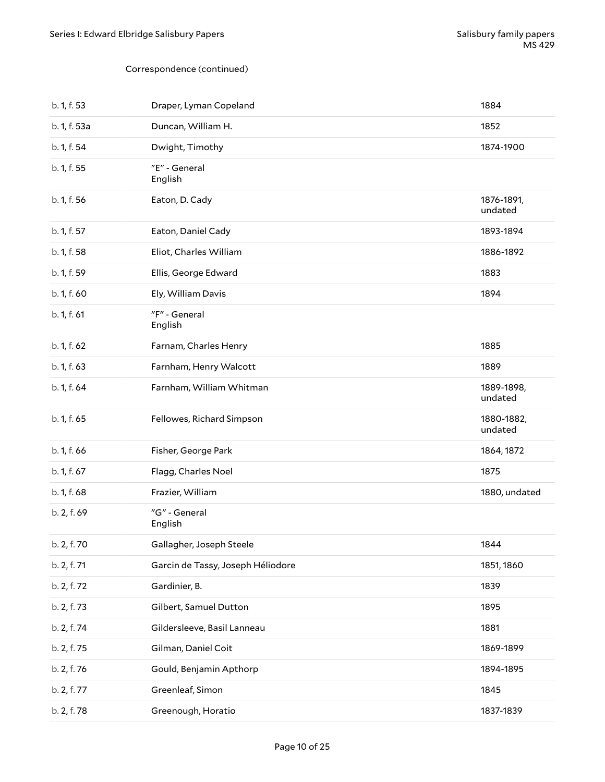| b. 1, f. 53  | Draper, Lyman Copeland            | 1884                  |
|--------------|-----------------------------------|-----------------------|
| b. 1, f. 53a | Duncan, William H.                | 1852                  |
| b. 1, f. 54  | Dwight, Timothy                   | 1874-1900             |
| b. 1, f. 55  | "E" - General<br>English          |                       |
| b. 1, f. 56  | Eaton, D. Cady                    | 1876-1891,<br>undated |
| b. 1, f. 57  | Eaton, Daniel Cady                | 1893-1894             |
| b. 1, f. 58  | Eliot, Charles William            | 1886-1892             |
| b. 1, f. 59  | Ellis, George Edward              | 1883                  |
| b. 1, f. 60  | Ely, William Davis                | 1894                  |
| b. 1, f. 61  | "F" - General<br>English          |                       |
| b. 1, f. 62  | Farnam, Charles Henry             | 1885                  |
| b. 1, f. 63  | Farnham, Henry Walcott            | 1889                  |
| b. 1, f. 64  | Farnham, William Whitman          | 1889-1898,<br>undated |
| b. 1, f. 65  | Fellowes, Richard Simpson         | 1880-1882,<br>undated |
| b. 1, f. 66  | Fisher, George Park               | 1864, 1872            |
| b. 1, f. 67  | Flagg, Charles Noel               | 1875                  |
| b. 1, f. 68  | Frazier, William                  | 1880, undated         |
| b. 2, f. 69  | "G" - General<br>English          |                       |
| b. 2, f. 70  | Gallagher, Joseph Steele          | 1844                  |
| b. 2, f. 71  | Garcin de Tassy, Joseph Héliodore | 1851, 1860            |
| b. 2, f. 72  | Gardinier, B.                     | 1839                  |
| b. 2, f. 73  | Gilbert, Samuel Dutton            | 1895                  |
| b. 2, f. 74  | Gildersleeve, Basil Lanneau       | 1881                  |
| b. 2, f. 75  | Gilman, Daniel Coit               | 1869-1899             |
| b. 2, f. 76  | Gould, Benjamin Apthorp           | 1894-1895             |
| b. 2, f. 77  | Greenleaf, Simon                  | 1845                  |
| b. 2, f. 78  | Greenough, Horatio                | 1837-1839             |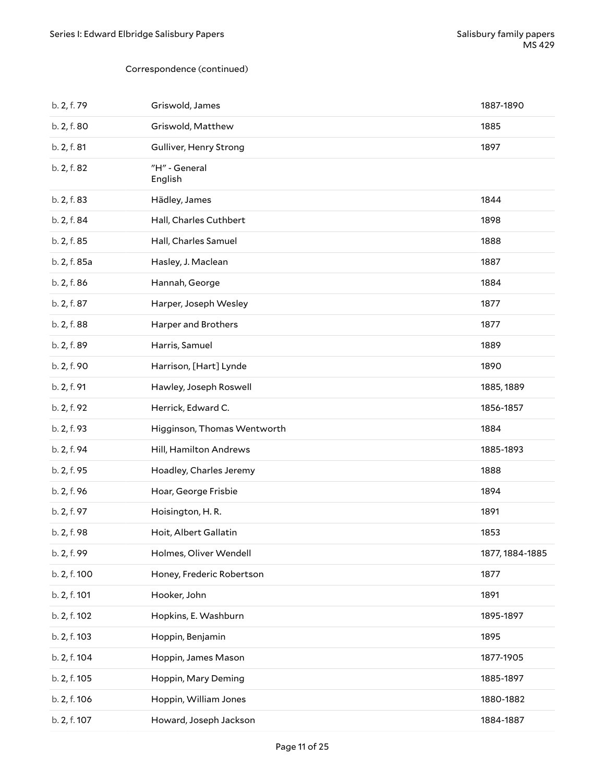| b. 2, f. 79  | Griswold, James             | 1887-1890       |
|--------------|-----------------------------|-----------------|
| b. 2, f. 80  | Griswold, Matthew           | 1885            |
| b. 2, f. 81  | Gulliver, Henry Strong      | 1897            |
| b. 2, f. 82  | "H" - General<br>English    |                 |
| b. 2, f. 83  | Hädley, James               | 1844            |
| b. 2, f. 84  | Hall, Charles Cuthbert      | 1898            |
| b. 2, f. 85  | Hall, Charles Samuel        | 1888            |
| b. 2, f. 85a | Hasley, J. Maclean          | 1887            |
| b. 2, f. 86  | Hannah, George              | 1884            |
| b. 2, f. 87  | Harper, Joseph Wesley       | 1877            |
| b. 2, f. 88  | Harper and Brothers         | 1877            |
| b. 2, f. 89  | Harris, Samuel              | 1889            |
| b. 2, f. 90  | Harrison, [Hart] Lynde      | 1890            |
| b. 2, f. 91  | Hawley, Joseph Roswell      | 1885, 1889      |
| b. 2, f. 92  | Herrick, Edward C.          | 1856-1857       |
| b. 2, f. 93  | Higginson, Thomas Wentworth | 1884            |
| b. 2, f. 94  | Hill, Hamilton Andrews      | 1885-1893       |
| b. 2, f. 95  | Hoadley, Charles Jeremy     | 1888            |
| b. 2, f. 96  | Hoar, George Frisbie        | 1894            |
| b. 2, f. 97  | Hoisington, H.R.            | 1891            |
| b. 2, f. 98  | Hoit, Albert Gallatin       | 1853            |
| b. 2, f. 99  | Holmes, Oliver Wendell      | 1877, 1884-1885 |
| b. 2, f. 100 | Honey, Frederic Robertson   | 1877            |
| b. 2, f. 101 | Hooker, John                | 1891            |
| b. 2, f. 102 | Hopkins, E. Washburn        | 1895-1897       |
| b. 2, f. 103 | Hoppin, Benjamin            | 1895            |
| b. 2, f. 104 | Hoppin, James Mason         | 1877-1905       |
| b. 2, f. 105 | Hoppin, Mary Deming         | 1885-1897       |
| b. 2, f. 106 | Hoppin, William Jones       | 1880-1882       |
| b. 2, f. 107 | Howard, Joseph Jackson      | 1884-1887       |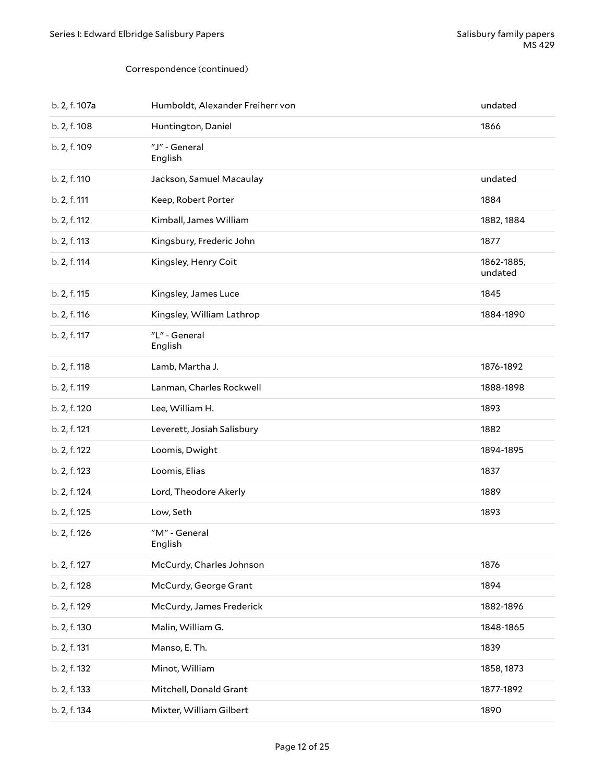| b. 2, f. 107a | Humboldt, Alexander Freiherr von | undated               |
|---------------|----------------------------------|-----------------------|
| b. 2, f. 108  | Huntington, Daniel               | 1866                  |
| b. 2, f. 109  | "J" - General<br>English         |                       |
| b. 2, f. 110  | Jackson, Samuel Macaulay         | undated               |
| b. 2, f. 111  | Keep, Robert Porter              | 1884                  |
| b. 2, f. 112  | Kimball, James William           | 1882, 1884            |
| b. 2, f. 113  | Kingsbury, Frederic John         | 1877                  |
| b. 2, f. 114  | Kingsley, Henry Coit             | 1862-1885,<br>undated |
| b. 2, f. 115  | Kingsley, James Luce             | 1845                  |
| b. 2, f. 116  | Kingsley, William Lathrop        | 1884-1890             |
| b. 2, f. 117  | "L" - General<br>English         |                       |
| b. 2, f. 118  | Lamb, Martha J.                  | 1876-1892             |
| b. 2, f. 119  | Lanman, Charles Rockwell         | 1888-1898             |
| b. 2, f. 120  | Lee, William H.                  | 1893                  |
| b. 2, f. 121  | Leverett, Josiah Salisbury       | 1882                  |
| b. 2, f. 122  | Loomis, Dwight                   | 1894-1895             |
| b. 2, f. 123  | Loomis, Elias                    | 1837                  |
| b. 2, f. 124  | Lord, Theodore Akerly            | 1889                  |
| b. 2, f. 125  | Low, Seth                        | 1893                  |
| b. 2, f. 126  | "M" - General<br>English         |                       |
| b. 2, f. 127  | McCurdy, Charles Johnson         | 1876                  |
| b. 2, f. 128  | McCurdy, George Grant            | 1894                  |
| b. 2, f. 129  | McCurdy, James Frederick         | 1882-1896             |
| b. 2, f. 130  | Malin, William G.                | 1848-1865             |
| b. 2, f. 131  | Manso, E. Th.                    | 1839                  |
| b. 2, f. 132  | Minot, William                   | 1858, 1873            |
| b. 2, f. 133  | Mitchell, Donald Grant           | 1877-1892             |
| b. 2, f. 134  | Mixter, William Gilbert          | 1890                  |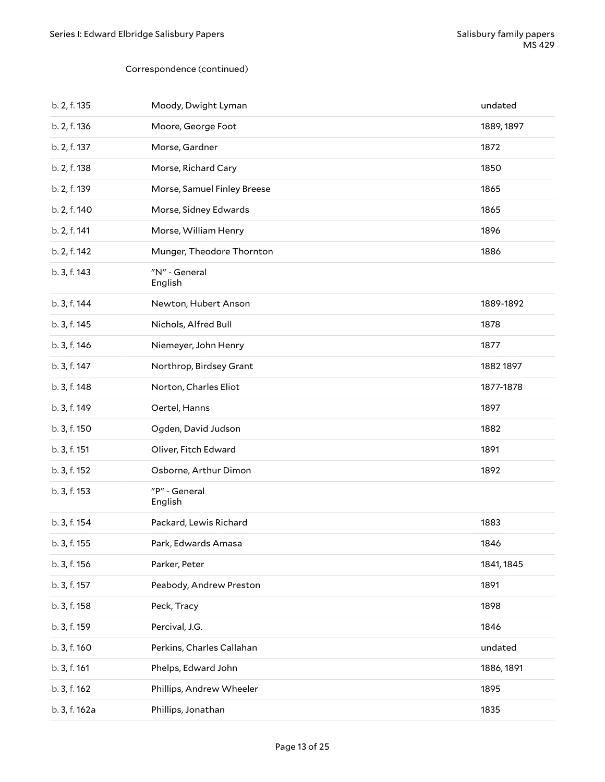| b. 2, f. 135  | Moody, Dwight Lyman         | undated    |
|---------------|-----------------------------|------------|
| b. 2, f. 136  | Moore, George Foot          | 1889, 1897 |
| b. 2, f. 137  | Morse, Gardner              | 1872       |
| b. 2, f. 138  | Morse, Richard Cary         | 1850       |
| b. 2, f. 139  | Morse, Samuel Finley Breese | 1865       |
| b. 2, f. 140  | Morse, Sidney Edwards       | 1865       |
| b. 2, f. 141  | Morse, William Henry        | 1896       |
| b. 2, f. 142  | Munger, Theodore Thornton   | 1886       |
| b. 3, f. 143  | "N" - General<br>English    |            |
| b. 3, f. 144  | Newton, Hubert Anson        | 1889-1892  |
| b. 3, f. 145  | Nichols, Alfred Bull        | 1878       |
| b. 3, f. 146  | Niemeyer, John Henry        | 1877       |
| b. 3, f. 147  | Northrop, Birdsey Grant     | 1882 1897  |
| b. 3, f. 148  | Norton, Charles Eliot       | 1877-1878  |
| b. 3, f. 149  | Oertel, Hanns               | 1897       |
| b. 3, f. 150  | Ogden, David Judson         | 1882       |
| b. 3, f. 151  | Oliver, Fitch Edward        | 1891       |
| b. 3, f. 152  | Osborne, Arthur Dimon       | 1892       |
| b. 3, f. 153  | "P" - General<br>English    |            |
| b. 3, f. 154  | Packard, Lewis Richard      | 1883       |
| b. 3, f. 155  | Park, Edwards Amasa         | 1846       |
| b. 3, f. 156  | Parker, Peter               | 1841, 1845 |
| b. 3, f. 157  | Peabody, Andrew Preston     | 1891       |
| b. 3, f. 158  | Peck, Tracy                 | 1898       |
| b. 3, f. 159  | Percival, J.G.              | 1846       |
| b. 3, f. 160  | Perkins, Charles Callahan   | undated    |
| b. 3, f. 161  | Phelps, Edward John         | 1886, 1891 |
| b. 3, f. 162  | Phillips, Andrew Wheeler    | 1895       |
| b. 3, f. 162a | Phillips, Jonathan          | 1835       |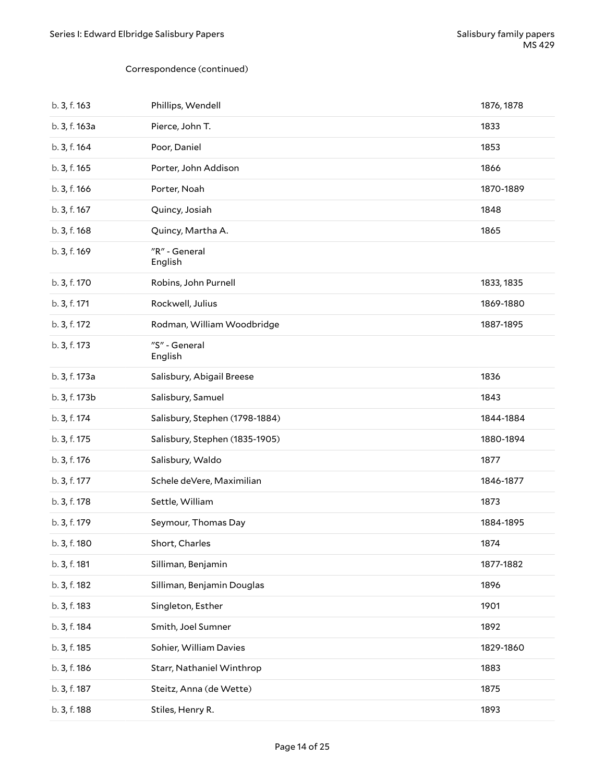| b. 3, f. 163  | Phillips, Wendell              | 1876, 1878 |
|---------------|--------------------------------|------------|
| b. 3, f. 163a | Pierce, John T.                | 1833       |
| b. 3, f. 164  | Poor, Daniel                   | 1853       |
| b. 3, f. 165  | Porter, John Addison           | 1866       |
| b. 3, f. 166  | Porter, Noah                   | 1870-1889  |
| b. 3, f. 167  | Quincy, Josiah                 | 1848       |
| b. 3, f. 168  | Quincy, Martha A.              | 1865       |
| b. 3, f. 169  | "R" - General<br>English       |            |
| b. 3, f. 170  | Robins, John Purnell           | 1833, 1835 |
| b. 3, f. 171  | Rockwell, Julius               | 1869-1880  |
| b. 3, f. 172  | Rodman, William Woodbridge     | 1887-1895  |
| b. 3, f. 173  | "S" - General<br>English       |            |
| b. 3, f. 173a | Salisbury, Abigail Breese      | 1836       |
| b. 3, f. 173b | Salisbury, Samuel              | 1843       |
| b. 3, f. 174  | Salisbury, Stephen (1798-1884) | 1844-1884  |
| b. 3, f. 175  | Salisbury, Stephen (1835-1905) | 1880-1894  |
| b. 3, f. 176  | Salisbury, Waldo               | 1877       |
| b. 3, f. 177  | Schele deVere, Maximilian      | 1846-1877  |
| b. 3, f. 178  | Settle, William                | 1873       |
| b. 3, f. 179  | Seymour, Thomas Day            | 1884-1895  |
| b. 3, f. 180  | Short, Charles                 | 1874       |
| b. 3, f. 181  | Silliman, Benjamin             | 1877-1882  |
| b. 3, f. 182  | Silliman, Benjamin Douglas     | 1896       |
| b. 3, f. 183  | Singleton, Esther              | 1901       |
| b. 3, f. 184  | Smith, Joel Sumner             | 1892       |
| b. 3, f. 185  | Sohier, William Davies         | 1829-1860  |
| b. 3, f. 186  | Starr, Nathaniel Winthrop      | 1883       |
| b. 3, f. 187  | Steitz, Anna (de Wette)        | 1875       |
| b. 3, f. 188  | Stiles, Henry R.               | 1893       |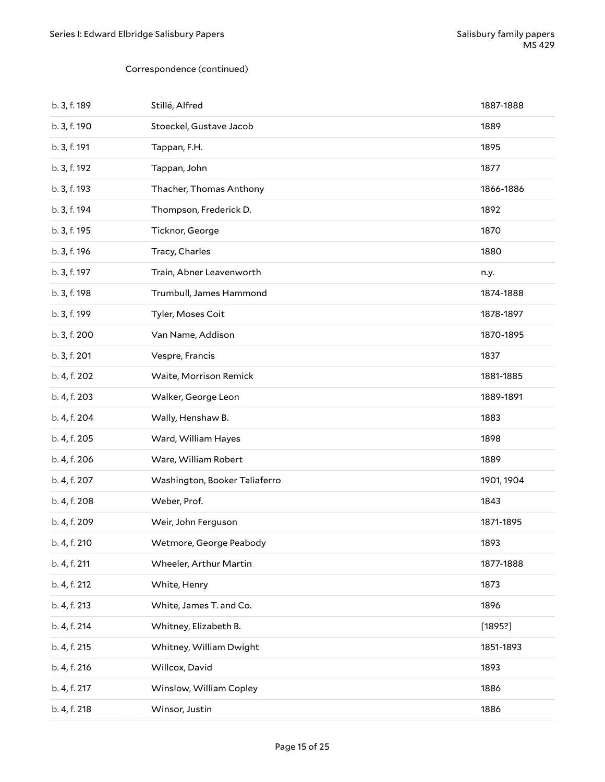| b. 3, f. 189 | Stillé, Alfred                | 1887-1888  |
|--------------|-------------------------------|------------|
| b. 3, f. 190 | Stoeckel, Gustave Jacob       | 1889       |
| b. 3, f. 191 | Tappan, F.H.                  | 1895       |
| b. 3, f. 192 | Tappan, John                  | 1877       |
| b. 3, f. 193 | Thacher, Thomas Anthony       | 1866-1886  |
| b. 3, f. 194 | Thompson, Frederick D.        | 1892       |
| b. 3, f. 195 | Ticknor, George               | 1870       |
| b. 3, f. 196 | Tracy, Charles                | 1880       |
| b. 3, f. 197 | Train, Abner Leavenworth      | n.y.       |
| b. 3, f. 198 | Trumbull, James Hammond       | 1874-1888  |
| b. 3, f. 199 | Tyler, Moses Coit             | 1878-1897  |
| b. 3, f. 200 | Van Name, Addison             | 1870-1895  |
| b. 3, f. 201 | Vespre, Francis               | 1837       |
| b. 4, f. 202 | Waite, Morrison Remick        | 1881-1885  |
| b. 4, f. 203 | Walker, George Leon           | 1889-1891  |
| b. 4, f. 204 | Wally, Henshaw B.             | 1883       |
| b. 4, f. 205 | Ward, William Hayes           | 1898       |
| b. 4, f. 206 | Ware, William Robert          | 1889       |
| b. 4, f. 207 | Washington, Booker Taliaferro | 1901, 1904 |
| b. 4, f. 208 | Weber, Prof.                  | 1843       |
| b. 4, f. 209 | Weir, John Ferguson           | 1871-1895  |
| b. 4, f. 210 | Wetmore, George Peabody       | 1893       |
| b. 4, f. 211 | Wheeler, Arthur Martin        | 1877-1888  |
| b. 4, f. 212 | White, Henry                  | 1873       |
| b. 4, f. 213 | White, James T. and Co.       | 1896       |
| b. 4, f. 214 | Whitney, Elizabeth B.         | [1895?]    |
| b. 4, f. 215 | Whitney, William Dwight       | 1851-1893  |
| b. 4, f. 216 | Willcox, David                | 1893       |
| b. 4, f. 217 | Winslow, William Copley       | 1886       |
| b. 4, f. 218 | Winsor, Justin                | 1886       |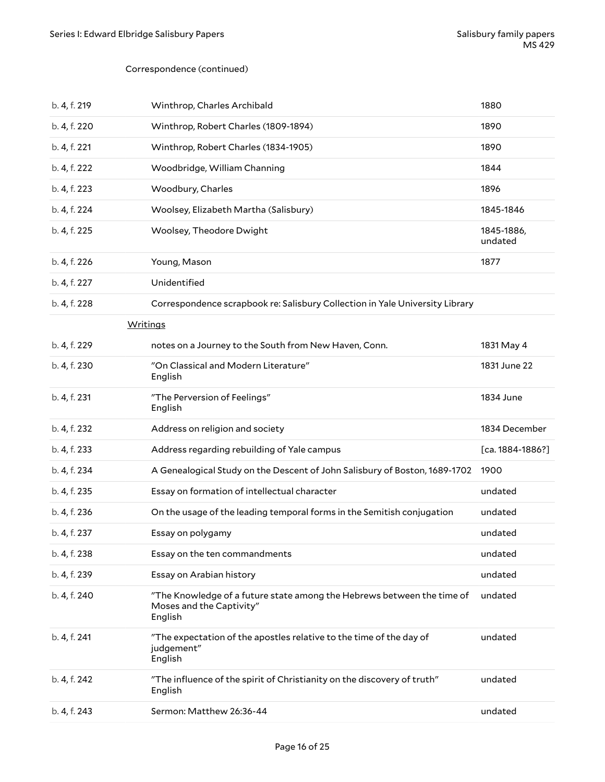| b. 4, f. 219 | Winthrop, Charles Archibald                                                                                   | 1880                  |
|--------------|---------------------------------------------------------------------------------------------------------------|-----------------------|
| b. 4, f. 220 | Winthrop, Robert Charles (1809-1894)                                                                          | 1890                  |
| b. 4, f. 221 | Winthrop, Robert Charles (1834-1905)                                                                          | 1890                  |
| b. 4, f. 222 | Woodbridge, William Channing                                                                                  | 1844                  |
| b. 4, f. 223 | Woodbury, Charles                                                                                             | 1896                  |
| b. 4, f. 224 | Woolsey, Elizabeth Martha (Salisbury)                                                                         | 1845-1846             |
| b. 4, f. 225 | Woolsey, Theodore Dwight                                                                                      | 1845-1886,<br>undated |
| b. 4, f. 226 | Young, Mason                                                                                                  | 1877                  |
| b. 4, f. 227 | Unidentified                                                                                                  |                       |
| b. 4, f. 228 | Correspondence scrapbook re: Salisbury Collection in Yale University Library                                  |                       |
|              | <b>Writings</b>                                                                                               |                       |
| b. 4, f. 229 | notes on a Journey to the South from New Haven, Conn.                                                         | 1831 May 4            |
| b. 4, f. 230 | "On Classical and Modern Literature"<br>English                                                               | 1831 June 22          |
| b. 4, f. 231 | "The Perversion of Feelings"<br>English                                                                       | 1834 June             |
| b. 4, f. 232 | Address on religion and society                                                                               | 1834 December         |
| b. 4, f. 233 | Address regarding rebuilding of Yale campus                                                                   | $[ca. 1884-1886?]$    |
| b. 4, f. 234 | A Genealogical Study on the Descent of John Salisbury of Boston, 1689-1702                                    | 1900                  |
| b. 4, f. 235 | Essay on formation of intellectual character                                                                  | undated               |
| b. 4, f. 236 | On the usage of the leading temporal forms in the Semitish conjugation                                        | undated               |
| b. 4, f. 237 | Essay on polygamy                                                                                             | undated               |
| b. 4, f. 238 | Essay on the ten commandments                                                                                 | undated               |
| b. 4, f. 239 | Essay on Arabian history                                                                                      | undated               |
| b. 4, f. 240 | "The Knowledge of a future state among the Hebrews between the time of<br>Moses and the Captivity"<br>English | undated               |
| b. 4, f. 241 | "The expectation of the apostles relative to the time of the day of<br>judgement"<br>English                  | undated               |
| b. 4, f. 242 | "The influence of the spirit of Christianity on the discovery of truth"<br>English                            | undated               |
| b. 4, f. 243 | Sermon: Matthew 26:36-44                                                                                      | undated               |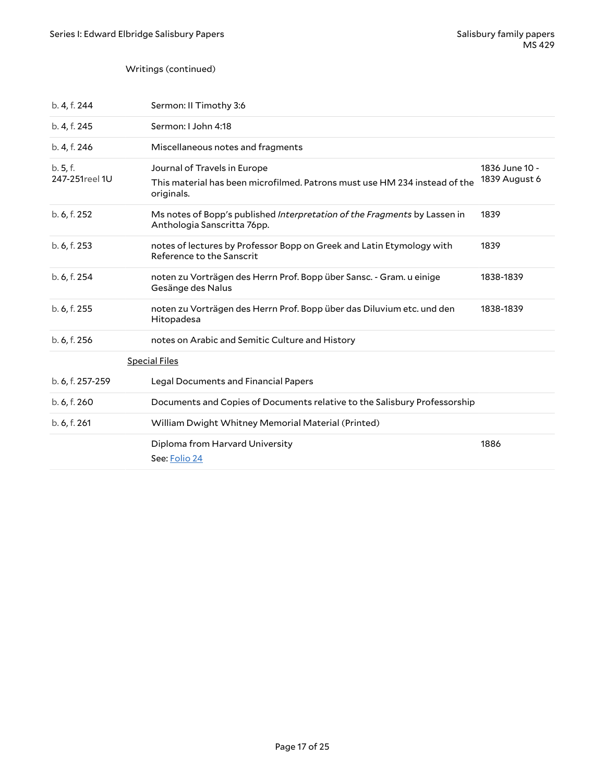### Writings (continued)

| b. 4, f. 244              | Sermon: II Timothy 3:6                                                                                                   |                                 |
|---------------------------|--------------------------------------------------------------------------------------------------------------------------|---------------------------------|
| b. 4, f. 245              | Sermon: I John 4:18                                                                                                      |                                 |
| b. 4, f. 246              | Miscellaneous notes and fragments                                                                                        |                                 |
| b.5, f.<br>247-251reel 1U | Journal of Travels in Europe<br>This material has been microfilmed. Patrons must use HM 234 instead of the<br>originals. | 1836 June 10 -<br>1839 August 6 |
| b. 6, f. 252              | Ms notes of Bopp's published Interpretation of the Fragments by Lassen in<br>Anthologia Sanscritta 76pp.                 | 1839                            |
| b. 6, f. 253              | notes of lectures by Professor Bopp on Greek and Latin Etymology with<br>Reference to the Sanscrit                       | 1839                            |
| b. 6, f. 254              | noten zu Vorträgen des Herrn Prof. Bopp über Sansc. - Gram. u einige<br>Gesänge des Nalus                                | 1838-1839                       |
| b. 6, f. 255              | noten zu Vorträgen des Herrn Prof. Bopp über das Diluvium etc. und den<br>Hitopadesa                                     | 1838-1839                       |
| b. 6, f. 256              | notes on Arabic and Semitic Culture and History                                                                          |                                 |
|                           | <b>Special Files</b>                                                                                                     |                                 |
| b. 6, f. 257-259          | Legal Documents and Financial Papers                                                                                     |                                 |
| b. 6, f. 260              | Documents and Copies of Documents relative to the Salisbury Professorship                                                |                                 |
| b. 6, f. 261              | William Dwight Whitney Memorial Material (Printed)                                                                       |                                 |
|                           | Diploma from Harvard University<br>See: Folio 24                                                                         | 1886                            |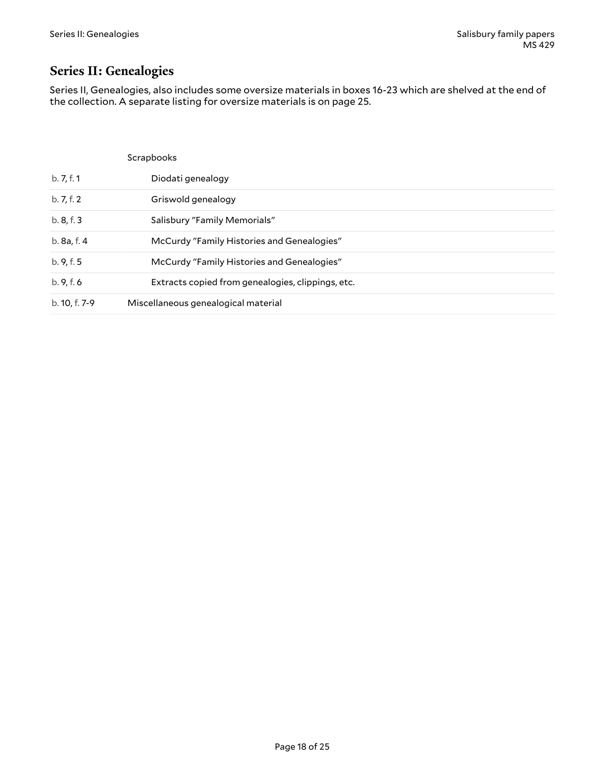# <span id="page-17-0"></span>**Series II: Genealogies**

Series II, Genealogies, also includes some oversize materials in boxes 16-23 which are shelved at the end of the collection. A separate listing for oversize materials is on page 25.

|               | Scrapbooks                                        |
|---------------|---------------------------------------------------|
| b. 7, f. 1    | Diodati genealogy                                 |
| b. 7, f. 2    | Griswold genealogy                                |
| b. 8, f. 3    | Salisbury "Family Memorials"                      |
| b. 8a, f. 4   | McCurdy "Family Histories and Genealogies"        |
| b. 9, f. 5    | McCurdy "Family Histories and Genealogies"        |
| b.9, f.6      | Extracts copied from genealogies, clippings, etc. |
| b. 10, f. 7-9 | Miscellaneous genealogical material               |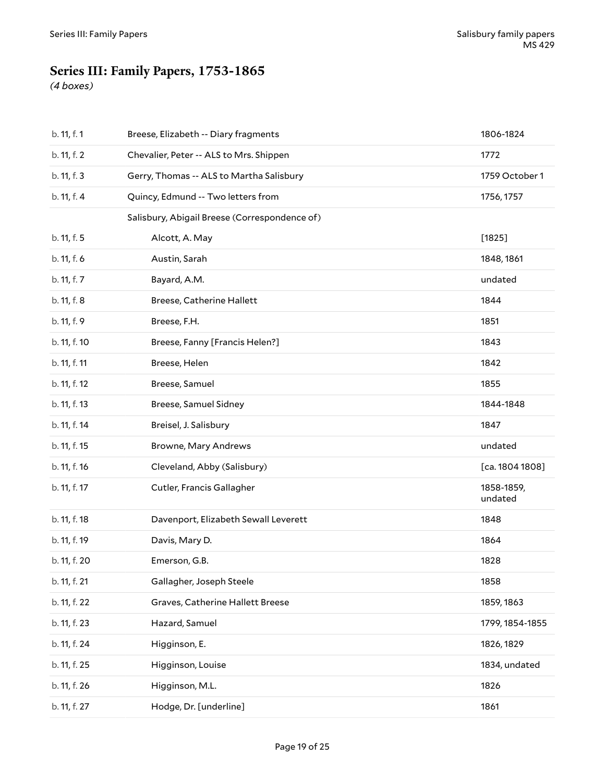# <span id="page-18-0"></span>**Series III: Family Papers, 1753-1865**

*(4 boxes)*

| b. 11, f. 1  | Breese, Elizabeth -- Diary fragments          | 1806-1824             |
|--------------|-----------------------------------------------|-----------------------|
| b. 11, f. 2  | Chevalier, Peter -- ALS to Mrs. Shippen       | 1772                  |
| b. 11, f. 3  | Gerry, Thomas -- ALS to Martha Salisbury      | 1759 October 1        |
| b. 11, f. 4  | Quincy, Edmund -- Two letters from            | 1756, 1757            |
|              | Salisbury, Abigail Breese (Correspondence of) |                       |
| b. 11, f. 5  | Alcott, A. May                                | [1825]                |
| b. 11, f. 6  | Austin, Sarah                                 | 1848, 1861            |
| b. 11, f. 7  | Bayard, A.M.                                  | undated               |
| b. 11, f. 8  | Breese, Catherine Hallett                     | 1844                  |
| b. 11, f. 9  | Breese, F.H.                                  | 1851                  |
| b. 11, f. 10 | Breese, Fanny [Francis Helen?]                | 1843                  |
| b. 11, f. 11 | Breese, Helen                                 | 1842                  |
| b. 11, f. 12 | Breese, Samuel                                | 1855                  |
| b. 11, f. 13 | Breese, Samuel Sidney                         | 1844-1848             |
| b. 11, f. 14 | Breisel, J. Salisbury                         | 1847                  |
| b. 11, f. 15 | Browne, Mary Andrews                          | undated               |
| b. 11, f. 16 | Cleveland, Abby (Salisbury)                   | [ca. 1804 1808]       |
| b. 11, f. 17 | Cutler, Francis Gallagher                     | 1858-1859,<br>undated |
| b. 11, f. 18 | Davenport, Elizabeth Sewall Leverett          | 1848                  |
| b. 11, f. 19 | Davis, Mary D.                                | 1864                  |
| b. 11, f. 20 | Emerson, G.B.                                 | 1828                  |
| b. 11, f. 21 | Gallagher, Joseph Steele                      | 1858                  |
| b. 11, f. 22 | Graves, Catherine Hallett Breese              | 1859, 1863            |
| b. 11, f. 23 | Hazard, Samuel                                | 1799, 1854-1855       |
| b. 11, f. 24 | Higginson, E.                                 | 1826, 1829            |
| b. 11, f. 25 | Higginson, Louise                             | 1834, undated         |
| b. 11, f. 26 | Higginson, M.L.                               | 1826                  |
| b. 11, f. 27 | Hodge, Dr. [underline]                        | 1861                  |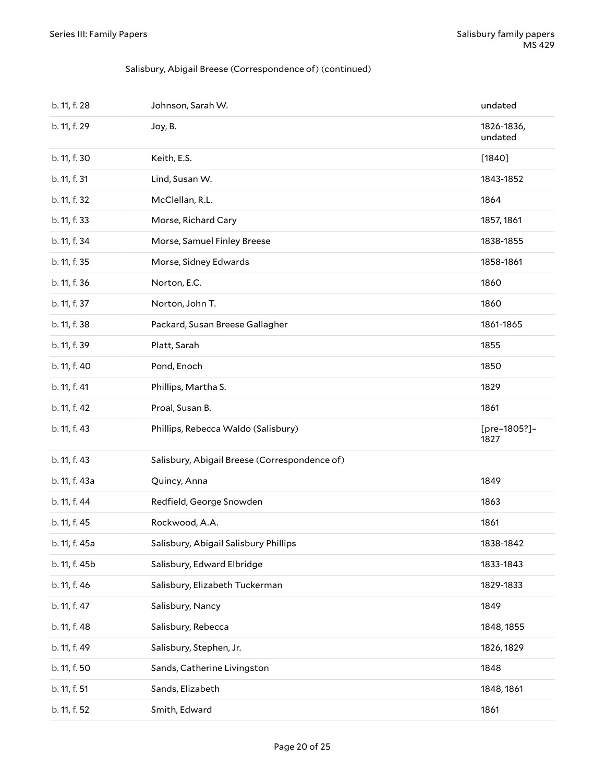#### Salisbury, Abigail Breese (Correspondence of) (continued)

| b. 11, f. 28  | Johnson, Sarah W.                             | undated               |
|---------------|-----------------------------------------------|-----------------------|
| b. 11, f. 29  | Joy, B.                                       | 1826-1836,<br>undated |
| b. 11, f. 30  | Keith, E.S.                                   | $[1840]$              |
| b. 11, f. 31  | Lind, Susan W.                                | 1843-1852             |
| b. 11, f. 32  | McClellan, R.L.                               | 1864                  |
| b. 11, f. 33  | Morse, Richard Cary                           | 1857, 1861            |
| b. 11, f. 34  | Morse, Samuel Finley Breese                   | 1838-1855             |
| b. 11, f. 35  | Morse, Sidney Edwards                         | 1858-1861             |
| b. 11, f. 36  | Norton, E.C.                                  | 1860                  |
| b. 11, f. 37  | Norton, John T.                               | 1860                  |
| b. 11, f. 38  | Packard, Susan Breese Gallagher               | 1861-1865             |
| b. 11, f. 39  | Platt, Sarah                                  | 1855                  |
| b. 11, f. 40  | Pond, Enoch                                   | 1850                  |
| b. 11, f. 41  | Phillips, Martha S.                           | 1829                  |
| b. 11, f. 42  | Proal, Susan B.                               | 1861                  |
| b. 11, f. 43  | Phillips, Rebecca Waldo (Salisbury)           | [pre-1805?]-<br>1827  |
| b. 11, f. 43  | Salisbury, Abigail Breese (Correspondence of) |                       |
| b. 11, f. 43a | Quincy, Anna                                  | 1849                  |
| b. 11, f. 44  | Redfield, George Snowden                      | 1863                  |
| b. 11, f. 45  | Rockwood, A.A.                                | 1861                  |
| b. 11, f. 45a | Salisbury, Abigail Salisbury Phillips         | 1838-1842             |
| b. 11, f. 45b | Salisbury, Edward Elbridge                    | 1833-1843             |
| b. 11, f. 46  | Salisbury, Elizabeth Tuckerman                | 1829-1833             |
| b. 11, f. 47  | Salisbury, Nancy                              | 1849                  |
| b. 11, f. 48  | Salisbury, Rebecca                            | 1848, 1855            |
| b. 11, f. 49  | Salisbury, Stephen, Jr.                       | 1826, 1829            |
| b. 11, f. 50  | Sands, Catherine Livingston                   | 1848                  |
| b. 11, f. 51  | Sands, Elizabeth                              | 1848, 1861            |
| b. 11, f. 52  | Smith, Edward                                 | 1861                  |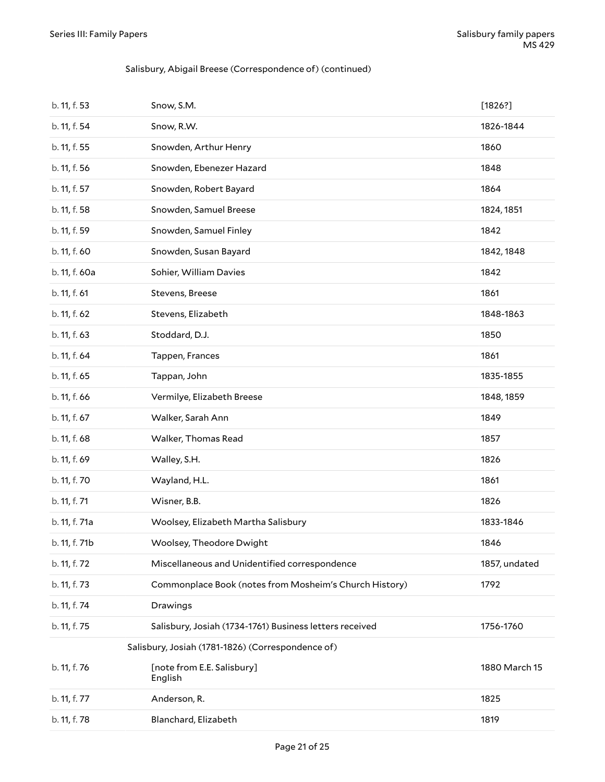#### Salisbury, Abigail Breese (Correspondence of) (continued)

| b. 11, f. 53  | Snow, S.M.                                              | [1826?]       |
|---------------|---------------------------------------------------------|---------------|
| b. 11, f. 54  | Snow, R.W.                                              | 1826-1844     |
| b. 11, f. 55  | Snowden, Arthur Henry                                   | 1860          |
| b. 11, f. 56  | Snowden, Ebenezer Hazard                                | 1848          |
| b. 11, f. 57  | Snowden, Robert Bayard                                  | 1864          |
| b. 11, f. 58  | Snowden, Samuel Breese                                  | 1824, 1851    |
| b. 11, f. 59  | Snowden, Samuel Finley                                  | 1842          |
| b. 11, f. 60  | Snowden, Susan Bayard                                   | 1842, 1848    |
| b. 11, f. 60a | Sohier, William Davies                                  | 1842          |
| b. 11, f. 61  | Stevens, Breese                                         | 1861          |
| b. 11, f. 62  | Stevens, Elizabeth                                      | 1848-1863     |
| b. 11, f. 63  | Stoddard, D.J.                                          | 1850          |
| b. 11, f. 64  | Tappen, Frances                                         | 1861          |
| b. 11, f. 65  | Tappan, John                                            | 1835-1855     |
| b. 11, f. 66  | Vermilye, Elizabeth Breese                              | 1848, 1859    |
| b. 11, f. 67  | Walker, Sarah Ann                                       | 1849          |
| b. 11, f. 68  | Walker, Thomas Read                                     | 1857          |
| b. 11, f. 69  | Walley, S.H.                                            | 1826          |
| b. 11, f. 70  | Wayland, H.L.                                           | 1861          |
| b. 11, f. 71  | Wisner, B.B.                                            | 1826          |
| b. 11, f. 71a | Woolsey, Elizabeth Martha Salisbury                     | 1833-1846     |
| b. 11, f. 71b | Woolsey, Theodore Dwight                                | 1846          |
| b. 11, f. 72  | Miscellaneous and Unidentified correspondence           | 1857, undated |
| b. 11, f. 73  | Commonplace Book (notes from Mosheim's Church History)  | 1792          |
| b. 11, f. 74  | Drawings                                                |               |
| b. 11, f. 75  | Salisbury, Josiah (1734-1761) Business letters received | 1756-1760     |
|               | Salisbury, Josiah (1781-1826) (Correspondence of)       |               |
| b. 11, f. 76  | [note from E.E. Salisbury]<br>English                   | 1880 March 15 |
| b. 11, f. 77  | Anderson, R.                                            | 1825          |
| b. 11, f. 78  | Blanchard, Elizabeth                                    | 1819          |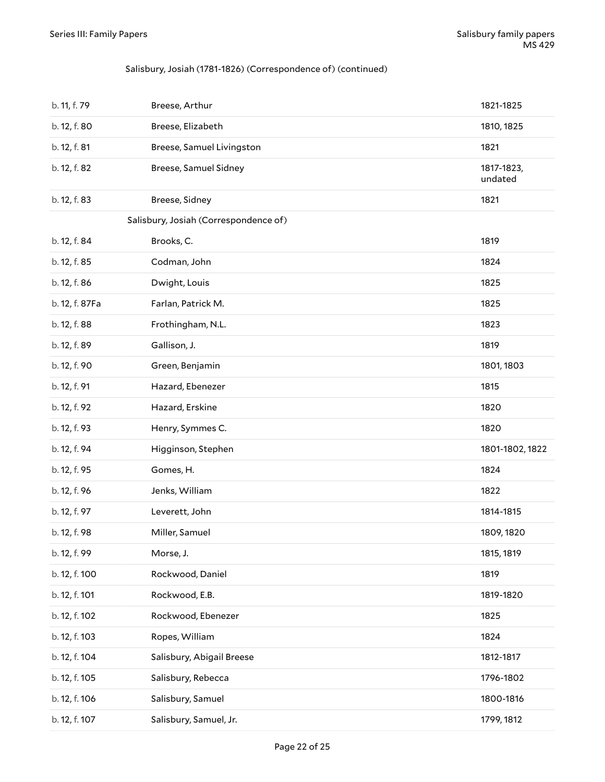#### Salisbury, Josiah (1781-1826) (Correspondence of) (continued)

| b. 11, f. 79   | Breese, Arthur                        | 1821-1825             |
|----------------|---------------------------------------|-----------------------|
| b. 12, f. 80   | Breese, Elizabeth                     | 1810, 1825            |
| b. 12, f. 81   | Breese, Samuel Livingston             | 1821                  |
| b. 12, f. 82   | Breese, Samuel Sidney                 | 1817-1823,<br>undated |
| b. 12, f. 83   | Breese, Sidney                        | 1821                  |
|                | Salisbury, Josiah (Correspondence of) |                       |
| b. 12, f. 84   | Brooks, C.                            | 1819                  |
| b. 12, f. 85   | Codman, John                          | 1824                  |
| b. 12, f. 86   | Dwight, Louis                         | 1825                  |
| b. 12, f. 87Fa | Farlan, Patrick M.                    | 1825                  |
| b. 12, f. 88   | Frothingham, N.L.                     | 1823                  |
| b. 12, f. 89   | Gallison, J.                          | 1819                  |
| b. 12, f. 90   | Green, Benjamin                       | 1801, 1803            |
| b. 12, f. 91   | Hazard, Ebenezer                      | 1815                  |
| b. 12, f. 92   | Hazard, Erskine                       | 1820                  |
| b. 12, f. 93   | Henry, Symmes C.                      | 1820                  |
| b. 12, f. 94   | Higginson, Stephen                    | 1801-1802, 1822       |
|                | Gomes, H.                             | 1824                  |
| b. 12, f. 95   |                                       |                       |
| b. 12, f. 96   | Jenks, William                        | 1822                  |
| b. 12, f. 97   | Leverett, John                        | 1814-1815             |
| b. 12, f. 98   | Miller, Samuel                        | 1809, 1820            |
| b. 12, f. 99   | Morse, J.                             | 1815, 1819            |
| b. 12, f. 100  | Rockwood, Daniel                      | 1819                  |
| b. 12, f. 101  | Rockwood, E.B.                        | 1819-1820             |
| b. 12, f. 102  | Rockwood, Ebenezer                    | 1825                  |
| b. 12, f. 103  | Ropes, William                        | 1824                  |
| b. 12, f. 104  | Salisbury, Abigail Breese             | 1812-1817             |
| b. 12, f. 105  | Salisbury, Rebecca                    | 1796-1802             |
| b. 12, f. 106  | Salisbury, Samuel                     | 1800-1816             |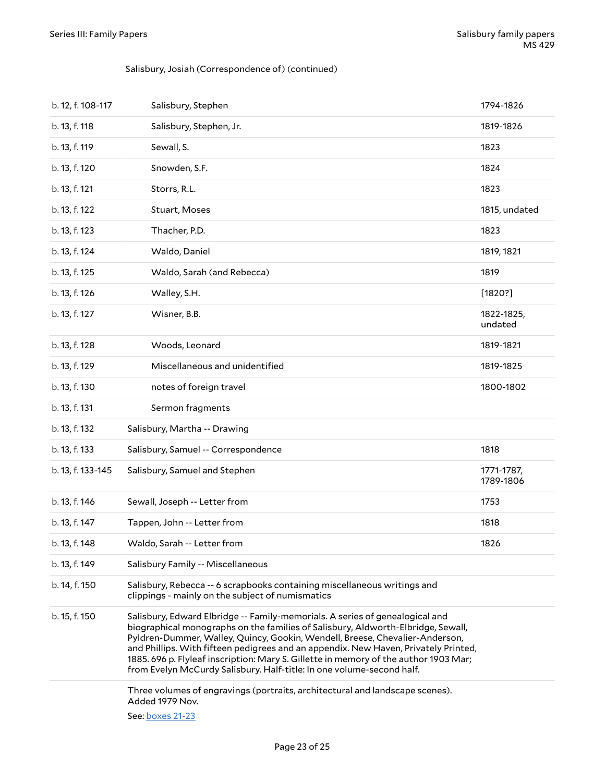#### Salisbury, Josiah (Correspondence of) (continued)

| b. 12, f. 108-117 | Salisbury, Stephen                                                                                                                                                                                                                                                                                                                                                                                                                                                                                       | 1794-1826               |
|-------------------|----------------------------------------------------------------------------------------------------------------------------------------------------------------------------------------------------------------------------------------------------------------------------------------------------------------------------------------------------------------------------------------------------------------------------------------------------------------------------------------------------------|-------------------------|
| b. 13, f. 118     | Salisbury, Stephen, Jr.                                                                                                                                                                                                                                                                                                                                                                                                                                                                                  | 1819-1826               |
| b. 13, f. 119     | Sewall, S.                                                                                                                                                                                                                                                                                                                                                                                                                                                                                               | 1823                    |
| b. 13, f. 120     | Snowden, S.F.                                                                                                                                                                                                                                                                                                                                                                                                                                                                                            | 1824                    |
| b. 13, f. 121     | Storrs, R.L.                                                                                                                                                                                                                                                                                                                                                                                                                                                                                             | 1823                    |
| b. 13, f. 122     | Stuart, Moses                                                                                                                                                                                                                                                                                                                                                                                                                                                                                            | 1815, undated           |
| b. 13, f. 123     | Thacher, P.D.                                                                                                                                                                                                                                                                                                                                                                                                                                                                                            | 1823                    |
| b. 13, f. 124     | Waldo, Daniel                                                                                                                                                                                                                                                                                                                                                                                                                                                                                            | 1819, 1821              |
| b. 13, f. 125     | Waldo, Sarah (and Rebecca)                                                                                                                                                                                                                                                                                                                                                                                                                                                                               | 1819                    |
| b. 13, f. 126     | Walley, S.H.                                                                                                                                                                                                                                                                                                                                                                                                                                                                                             | [1820?]                 |
| b. 13, f. 127     | Wisner, B.B.                                                                                                                                                                                                                                                                                                                                                                                                                                                                                             | 1822-1825,<br>undated   |
| b. 13, f. 128     | Woods, Leonard                                                                                                                                                                                                                                                                                                                                                                                                                                                                                           | 1819-1821               |
| b. 13, f. 129     | Miscellaneous and unidentified                                                                                                                                                                                                                                                                                                                                                                                                                                                                           | 1819-1825               |
| b. 13, f. 130     | notes of foreign travel                                                                                                                                                                                                                                                                                                                                                                                                                                                                                  | 1800-1802               |
| b. 13, f. 131     | Sermon fragments                                                                                                                                                                                                                                                                                                                                                                                                                                                                                         |                         |
| b. 13, f. 132     | Salisbury, Martha -- Drawing                                                                                                                                                                                                                                                                                                                                                                                                                                                                             |                         |
| b. 13, f. 133     | Salisbury, Samuel -- Correspondence                                                                                                                                                                                                                                                                                                                                                                                                                                                                      | 1818                    |
| b. 13, f. 133-145 | Salisbury, Samuel and Stephen                                                                                                                                                                                                                                                                                                                                                                                                                                                                            | 1771-1787,<br>1789-1806 |
| b. 13, f. 146     | Sewall, Joseph -- Letter from                                                                                                                                                                                                                                                                                                                                                                                                                                                                            | 1753                    |
| b. 13, f. 147     | Tappen, John -- Letter from                                                                                                                                                                                                                                                                                                                                                                                                                                                                              | 1818                    |
| b. 13, f. 148     | Waldo, Sarah -- Letter from                                                                                                                                                                                                                                                                                                                                                                                                                                                                              | 1826                    |
| b. 13, f. 149     | Salisbury Family -- Miscellaneous                                                                                                                                                                                                                                                                                                                                                                                                                                                                        |                         |
| b. 14, f. 150     | Salisbury, Rebecca -- 6 scrapbooks containing miscellaneous writings and<br>clippings - mainly on the subject of numismatics                                                                                                                                                                                                                                                                                                                                                                             |                         |
| b. 15, f. 150     | Salisbury, Edward Elbridge -- Family-memorials. A series of genealogical and<br>biographical monographs on the families of Salisbury, Aldworth-Elbridge, Sewall,<br>Pyldren-Dummer, Walley, Quincy, Gookin, Wendell, Breese, Chevalier-Anderson,<br>and Phillips. With fifteen pedigrees and an appendix. New Haven, Privately Printed,<br>1885. 696 p. Flyleaf inscription: Mary S. Gillette in memory of the author 1903 Mar;<br>from Evelyn McCurdy Salisbury. Half-title: In one volume-second half. |                         |
|                   | Three volumes of engravings (portraits, architectural and landscape scenes).<br>Added 1979 Nov.<br>See: boxes 21-23                                                                                                                                                                                                                                                                                                                                                                                      |                         |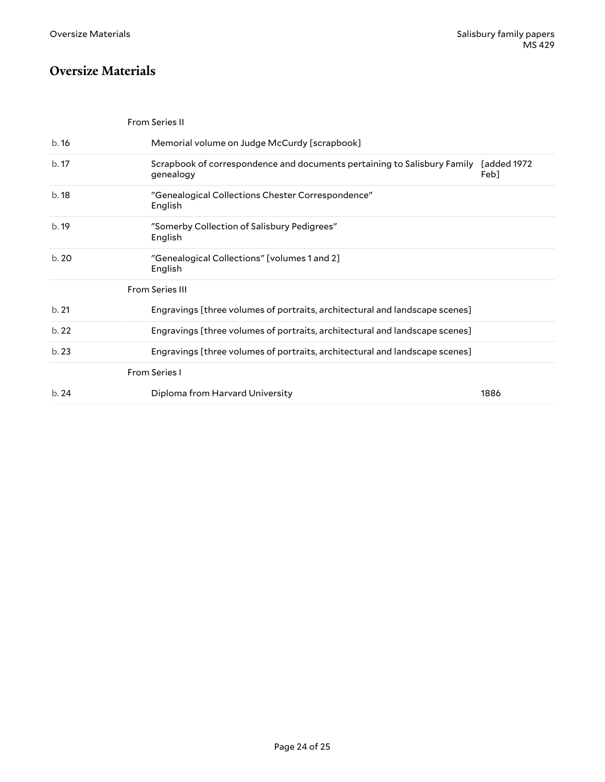### <span id="page-23-0"></span>**Oversize Materials**

<span id="page-23-2"></span><span id="page-23-1"></span>

|      | <b>From Series II</b>                                                                 |                     |
|------|---------------------------------------------------------------------------------------|---------------------|
| b.16 | Memorial volume on Judge McCurdy [scrapbook]                                          |                     |
| b.17 | Scrapbook of correspondence and documents pertaining to Salisbury Family<br>genealogy | Fadded 1972<br>Feb1 |
| b.18 | "Genealogical Collections Chester Correspondence"<br>English                          |                     |
| b.19 | "Somerby Collection of Salisbury Pedigrees"<br>English                                |                     |
| b.20 | "Genealogical Collections" [volumes 1 and 2]<br>English                               |                     |
|      | <b>From Series III</b>                                                                |                     |
| b.21 | Engravings [three volumes of portraits, architectural and landscape scenes]           |                     |
| b.22 | Engravings [three volumes of portraits, architectural and landscape scenes]           |                     |
| b.23 | Engravings [three volumes of portraits, architectural and landscape scenes]           |                     |
|      | <b>From Series I</b>                                                                  |                     |
| b.24 | Diploma from Harvard University                                                       | 1886                |